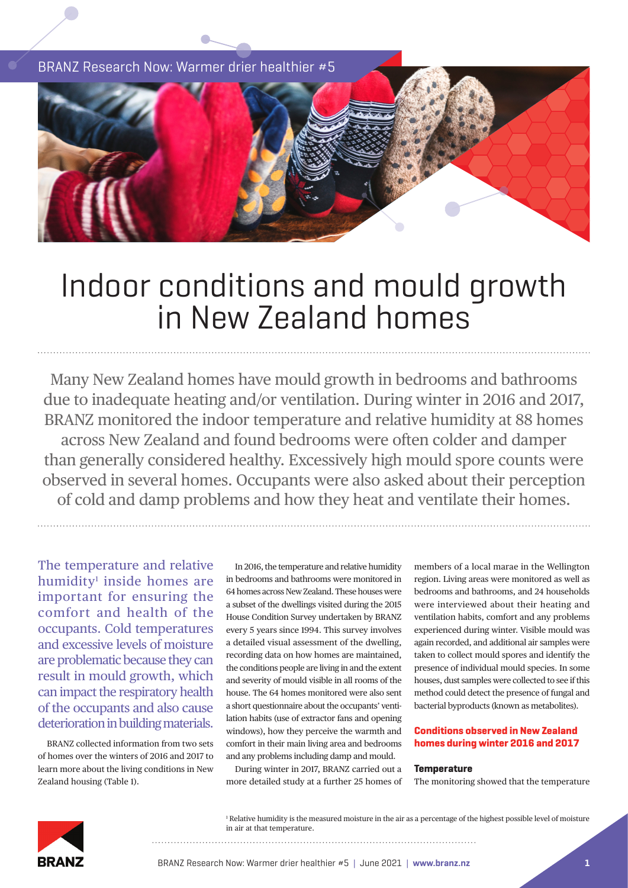BRANZ Research Now: Warmer drier healthier #5



# Indoor conditions and mould growth in New Zealand homes

Many New Zealand homes have mould growth in bedrooms and bathrooms due to inadequate heating and/or ventilation. During winter in 2016 and 2017, BRANZ monitored the indoor temperature and relative humidity at 88 homes across New Zealand and found bedrooms were often colder and damper than generally considered healthy. Excessively high mould spore counts were observed in several homes. Occupants were also asked about their perception of cold and damp problems and how they heat and ventilate their homes.

The temperature and relative humidity<sup>1</sup> inside homes are important for ensuring the comfort and health of the occupants. Cold temperatures and excessive levels of moisture are problematic because they can result in mould growth, which can impact the respiratory health of the occupants and also cause deterioration in building materials.

BRANZ collected information from two sets of homes over the winters of 2016 and 2017 to learn more about the living conditions in New Zealand housing (Table 1).

In 2016, the temperature and relative humidity in bedrooms and bathrooms were monitored in 64 homes across New Zealand. These houses were a subset of the dwellings visited during the 2015 House Condition Survey undertaken by BRANZ every 5 years since 1994. This survey involves a detailed visual assessment of the dwelling, recording data on how homes are maintained, the conditions people are living in and the extent and severity of mould visible in all rooms of the house. The 64 homes monitored were also sent a short questionnaire about the occupants' ventilation habits (use of extractor fans and opening windows), how they perceive the warmth and comfort in their main living area and bedrooms and any problems including damp and mould.

During winter in 2017, BRANZ carried out a more detailed study at a further 25 homes of members of a local marae in the Wellington region. Living areas were monitored as well as bedrooms and bathrooms, and 24 households were interviewed about their heating and ventilation habits, comfort and any problems experienced during winter. Visible mould was again recorded, and additional air samples were taken to collect mould spores and identify the presence of individual mould species. In some houses, dust samples were collected to see if this method could detect the presence of fungal and bacterial byproducts (known as metabolites).

#### **Conditions observed in New Zealand homes during winter 2016 and 2017**

#### **Temperature**

The monitoring showed that the temperature



1 Relative humidity is the measured moisture in the air as a percentage of the highest possible level of moisture in air at that temperature.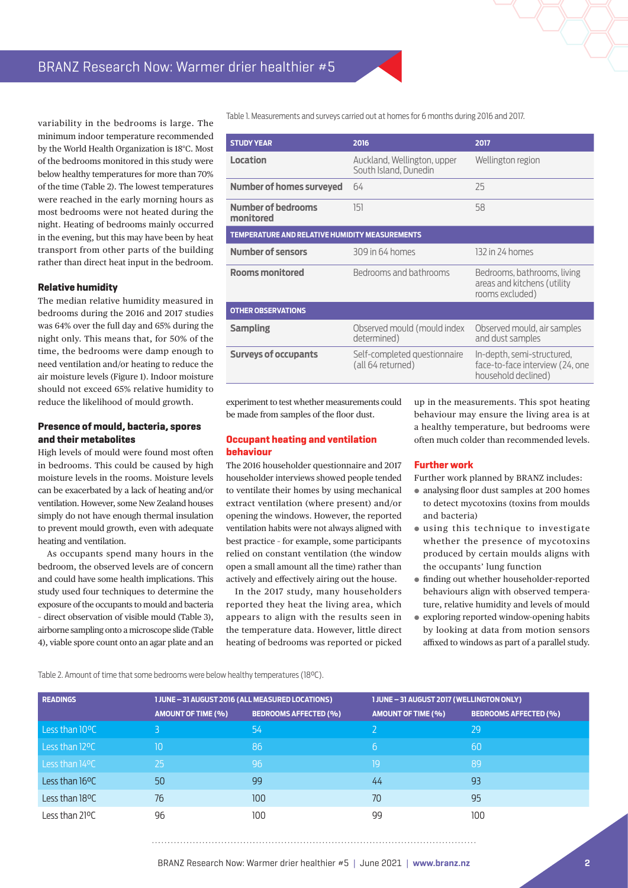variability in the bedrooms is large. The minimum indoor temperature recommended by the World Health Organization is 18°C. Most of the bedrooms monitored in this study were below healthy temperatures for more than 70% of the time (Table 2). The lowest temperatures were reached in the early morning hours as most bedrooms were not heated during the night. Heating of bedrooms mainly occurred in the evening, but this may have been by heat transport from other parts of the building rather than direct heat input in the bedroom.

#### **Relative humidity**

The median relative humidity measured in bedrooms during the 2016 and 2017 studies was 64% over the full day and 65% during the night only. This means that, for 50% of the time, the bedrooms were damp enough to need ventilation and/or heating to reduce the air moisture levels (Figure 1). Indoor moisture should not exceed 65% relative humidity to reduce the likelihood of mould growth.

#### **Presence of mould, bacteria, spores and their metabolites**

High levels of mould were found most often in bedrooms. This could be caused by high moisture levels in the rooms. Moisture levels can be exacerbated by a lack of heating and/or ventilation. However, some New Zealand houses simply do not have enough thermal insulation to prevent mould growth, even with adequate heating and ventilation.

As occupants spend many hours in the bedroom, the observed levels are of concern and could have some health implications. This study used four techniques to determine the exposure of the occupants to mould and bacteria – direct observation of visible mould (Table 3), airborne sampling onto a microscope slide (Table 4), viable spore count onto an agar plate and an

Table 1. Measurements and surveys carried out at homes for 6 months during 2016 and 2017.

| <b>STUDY YEAR</b>                                     | 2016                                                 | 2017                                                                                 |  |  |  |
|-------------------------------------------------------|------------------------------------------------------|--------------------------------------------------------------------------------------|--|--|--|
| <b>Location</b>                                       | Auckland, Wellington, upper<br>South Island, Dunedin | Wellington region                                                                    |  |  |  |
| <b>Number of homes surveyed</b>                       | 64                                                   | 25                                                                                   |  |  |  |
| <b>Number of bedrooms</b><br>monitored                | 151                                                  | 58                                                                                   |  |  |  |
| <b>TEMPERATURE AND RELATIVE HUMIDITY MEASUREMENTS</b> |                                                      |                                                                                      |  |  |  |
| <b>Number of sensors</b>                              | 309 in 64 homes                                      | 132 in 24 homes                                                                      |  |  |  |
| <b>Rooms monitored</b>                                | Bedrooms and bathrooms                               | Bedrooms, bathrooms, living<br>areas and kitchens (utility<br>rooms excluded)        |  |  |  |
| <b>OTHER OBSERVATIONS</b>                             |                                                      |                                                                                      |  |  |  |
| <b>Sampling</b>                                       | Observed mould (mould index<br>determined)           | Observed mould, air samples<br>and dust samples                                      |  |  |  |
| <b>Surveys of occupants</b>                           | Self-completed questionnaire<br>(all 64 returned)    | In-depth, semi-structured,<br>face-to-face interview (24, one<br>household declined) |  |  |  |

experiment to test whether measurements could be made from samples of the floor dust.

#### **Occupant heating and ventilation behaviour**

The 2016 householder questionnaire and 2017 householder interviews showed people tended to ventilate their homes by using mechanical extract ventilation (where present) and/or opening the windows. However, the reported ventilation habits were not always aligned with best practice – for example, some participants relied on constant ventilation (the window open a small amount all the time) rather than actively and effectively airing out the house.

In the 2017 study, many householders reported they heat the living area, which appears to align with the results seen in the temperature data. However, little direct heating of bedrooms was reported or picked up in the measurements. This spot heating behaviour may ensure the living area is at a healthy temperature, but bedrooms were often much colder than recommended levels.

#### **Further work**

Further work planned by BRANZ includes:

- **●** analysing floor dust samples at 200 homes to detect mycotoxins (toxins from moulds and bacteria)
- **●** using this technique to investigate whether the presence of mycotoxins produced by certain moulds aligns with the occupants' lung function
- **●** finding out whether householder-reported behaviours align with observed temperature, relative humidity and levels of mould
- **●** exploring reported window-opening habits by looking at data from motion sensors affixed to windows as part of a parallel study.

Table 2. Amount of time that some bedrooms were below healthy temperatures (18°C).

| <b>READINGS</b> | 1 JUNE - 31 AUGUST 2016 (ALL MEASURED LOCATIONS) |                              | 1 JUNE - 31 AUGUST 2017 (WELLINGTON ONLY) |                              |  |  |
|-----------------|--------------------------------------------------|------------------------------|-------------------------------------------|------------------------------|--|--|
|                 | <b>AMOUNT OF TIME (%)</b>                        | <b>BEDROOMS AFFECTED (%)</b> | <b>AMOUNT OF TIME (%)</b>                 | <b>BEDROOMS AFFECTED (%)</b> |  |  |
| Less than 10°C  | 3                                                | 54                           |                                           | 29                           |  |  |
| Less than 12°C  | 10                                               | 86                           | 6                                         | 60                           |  |  |
| Less than 14°C  | 25                                               | 96                           | 19                                        | 89                           |  |  |
| Less than 16°C  | 50                                               | 99                           | 44                                        | 93                           |  |  |
| Less than 18°C  | 76                                               | 100 <sub>1</sub>             | 70                                        | 95                           |  |  |
| Less than 21ºC  | 96                                               | 100                          | 99                                        | 100                          |  |  |